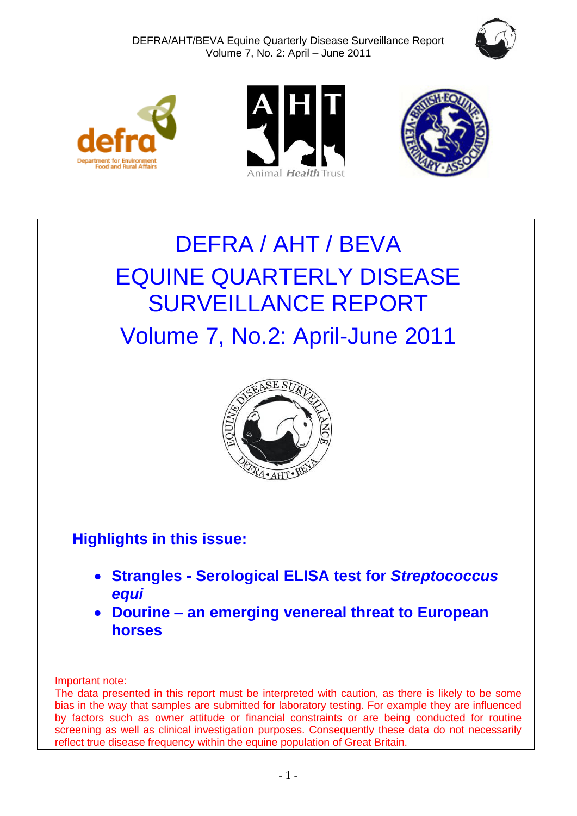







# DEFRA / AHT / BEVA EQUINE QUARTERLY DISEASE SURVEILLANCE REPORT Volume 7, No.2: April-June 2011



# **Highlights in this issue:**

- **Strangles - Serological ELISA test for** *Streptococcus equi*
- **Dourine – an emerging venereal threat to European horses**

Important note:

The data presented in this report must be interpreted with caution, as there is likely to be some bias in the way that samples are submitted for laboratory testing. For example they are influenced by factors such as owner attitude or financial constraints or are being conducted for routine screening as well as clinical investigation purposes. Consequently these data do not necessarily reflect true disease frequency within the equine population of Great Britain.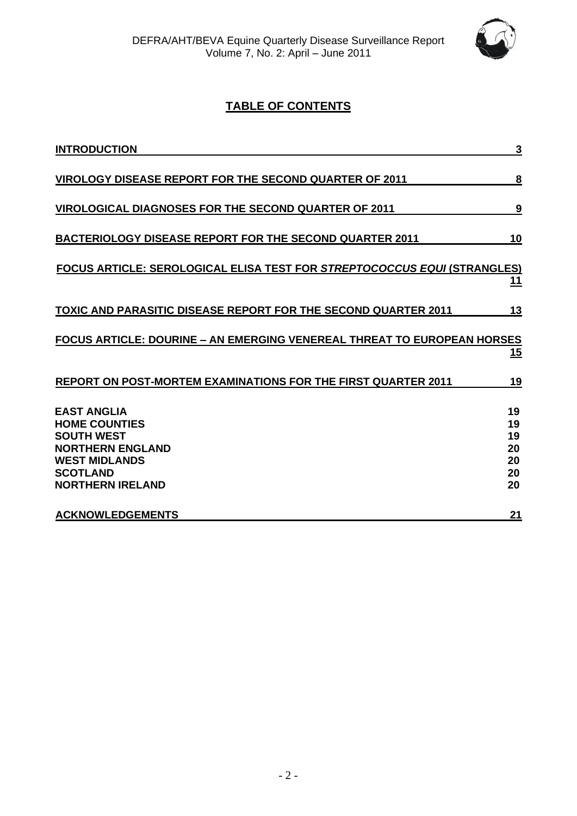

# **TABLE OF CONTENTS**

| <b>INTRODUCTION</b>                                                                                                                                              | 3                                      |
|------------------------------------------------------------------------------------------------------------------------------------------------------------------|----------------------------------------|
| <b>VIROLOGY DISEASE REPORT FOR THE SECOND QUARTER OF 2011</b>                                                                                                    | 8                                      |
| <b>VIROLOGICAL DIAGNOSES FOR THE SECOND QUARTER OF 2011</b>                                                                                                      | 9                                      |
| <b>BACTERIOLOGY DISEASE REPORT FOR THE SECOND QUARTER 2011</b>                                                                                                   | 10                                     |
| <b>FOCUS ARTICLE: SEROLOGICAL ELISA TEST FOR STREPTOCOCCUS EQUI (STRANGLES)</b>                                                                                  | 11                                     |
| <b>TOXIC AND PARASITIC DISEASE REPORT FOR THE SECOND QUARTER 2011</b>                                                                                            | 13                                     |
| <b>FOCUS ARTICLE: DOURINE – AN EMERGING VENEREAL THREAT TO EUROPEAN HORSES</b>                                                                                   | <u>15</u>                              |
| REPORT ON POST-MORTEM EXAMINATIONS FOR THE FIRST QUARTER 2011                                                                                                    | 19                                     |
| <b>EAST ANGLIA</b><br><b>HOME COUNTIES</b><br><b>SOUTH WEST</b><br><b>NORTHERN ENGLAND</b><br><b>WEST MIDLANDS</b><br><b>SCOTLAND</b><br><b>NORTHERN IRELAND</b> | 19<br>19<br>19<br>20<br>20<br>20<br>20 |
| <b>ACKNOWLEDGEMENTS</b>                                                                                                                                          | 21                                     |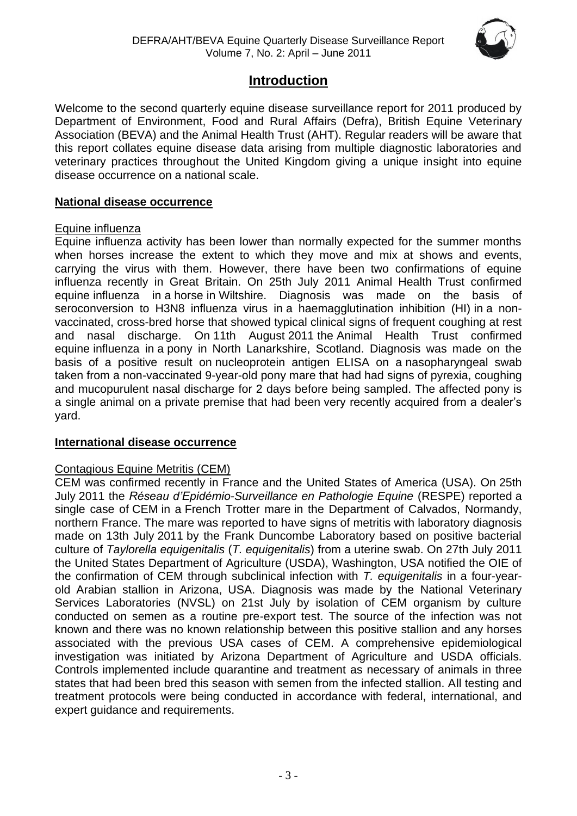

# **Introduction**

<span id="page-2-0"></span>Welcome to the second quarterly equine disease surveillance report for 2011 produced by Department of Environment, Food and Rural Affairs (Defra), British Equine Veterinary Association (BEVA) and the Animal Health Trust (AHT). Regular readers will be aware that this report collates equine disease data arising from multiple diagnostic laboratories and veterinary practices throughout the United Kingdom giving a unique insight into equine disease occurrence on a national scale.

#### **National disease occurrence**

#### Equine influenza

Equine influenza activity has been lower than normally expected for the summer months when horses increase the extent to which they move and mix at shows and events, carrying the virus with them. However, there have been two confirmations of equine influenza recently in Great Britain. On 25th July 2011 Animal Health Trust confirmed equine influenza in a horse in Wiltshire. Diagnosis was made on the basis of seroconversion to H3N8 influenza virus in a haemagglutination inhibition (HI) in a nonvaccinated, cross-bred horse that showed typical clinical signs of frequent coughing at rest and nasal discharge. On 11th August 2011 the Animal Health Trust confirmed equine influenza in a pony in North Lanarkshire, Scotland. Diagnosis was made on the basis of a positive result on nucleoprotein antigen ELISA on a nasopharyngeal swab taken from a non-vaccinated 9-year-old pony mare that had had signs of pyrexia, coughing and mucopurulent nasal discharge for 2 days before being sampled. The affected pony is a single animal on a private premise that had been very recently acquired from a dealer's yard.

#### **International disease occurrence**

#### Contagious Equine Metritis (CEM)

CEM was confirmed recently in France and the United States of America (USA). On 25th July 2011 the *Réseau d'Epidémio-Surveillance en Pathologie Equine* (RESPE) reported a single case of CEM in a French Trotter mare in the Department of Calvados, Normandy, northern France. The mare was reported to have signs of metritis with laboratory diagnosis made on 13th July 2011 by the Frank Duncombe Laboratory based on positive bacterial culture of *Taylorella equigenitalis* (*T. equigenitalis*) from a uterine swab. On 27th July 2011 the United States Department of Agriculture (USDA), Washington, USA notified the OIE of the confirmation of CEM through subclinical infection with *T. equigenitalis* in a four-yearold Arabian stallion in Arizona, USA. Diagnosis was made by the National Veterinary Services Laboratories (NVSL) on 21st July by isolation of CEM organism by culture conducted on semen as a routine pre-export test. The source of the infection was not known and there was no known relationship between this positive stallion and any horses associated with the previous USA cases of CEM. A comprehensive epidemiological investigation was initiated by Arizona Department of Agriculture and USDA officials. Controls implemented include quarantine and treatment as necessary of animals in three states that had been bred this season with semen from the infected stallion. All testing and treatment protocols were being conducted in accordance with federal, international, and expert guidance and requirements.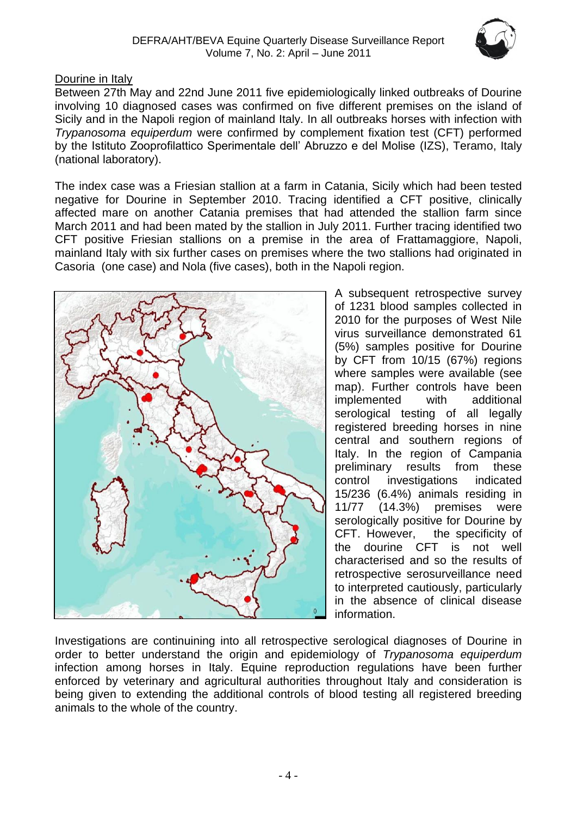

#### Dourine in Italy

Between 27th May and 22nd June 2011 five epidemiologically linked outbreaks of Dourine involving 10 diagnosed cases was confirmed on five different premises on the island of Sicily and in the Napoli region of mainland Italy. In all outbreaks horses with infection with *Trypanosoma equiperdum* were confirmed by complement fixation test (CFT) performed by the Istituto Zooprofilattico Sperimentale dell' Abruzzo e del Molise (IZS), Teramo, Italy (national laboratory).

The index case was a Friesian stallion at a farm in Catania, Sicily which had been tested negative for Dourine in September 2010. Tracing identified a CFT positive, clinically affected mare on another Catania premises that had attended the stallion farm since March 2011 and had been mated by the stallion in July 2011. Further tracing identified two CFT positive Friesian stallions on a premise in the area of Frattamaggiore, Napoli, mainland Italy with six further cases on premises where the two stallions had originated in Casoria (one case) and Nola (five cases), both in the Napoli region.



A subsequent retrospective survey of 1231 blood samples collected in 2010 for the purposes of West Nile virus surveillance demonstrated 61 (5%) samples positive for Dourine by CFT from 10/15 (67%) regions where samples were available (see map). Further controls have been implemented with additional serological testing of all legally registered breeding horses in nine central and southern regions of Italy. In the region of Campania preliminary results from these control investigations indicated 15/236 (6.4%) animals residing in 11/77 (14.3%) premises were serologically positive for Dourine by CFT. However, the specificity of the dourine CFT is not well characterised and so the results of retrospective serosurveillance need to interpreted cautiously, particularly in the absence of clinical disease information.

Investigations are continuining into all retrospective serological diagnoses of Dourine in order to better understand the origin and epidemiology of *Trypanosoma equiperdum* infection among horses in Italy. Equine reproduction regulations have been further enforced by veterinary and agricultural authorities throughout Italy and consideration is being given to extending the additional controls of blood testing all registered breeding animals to the whole of the country.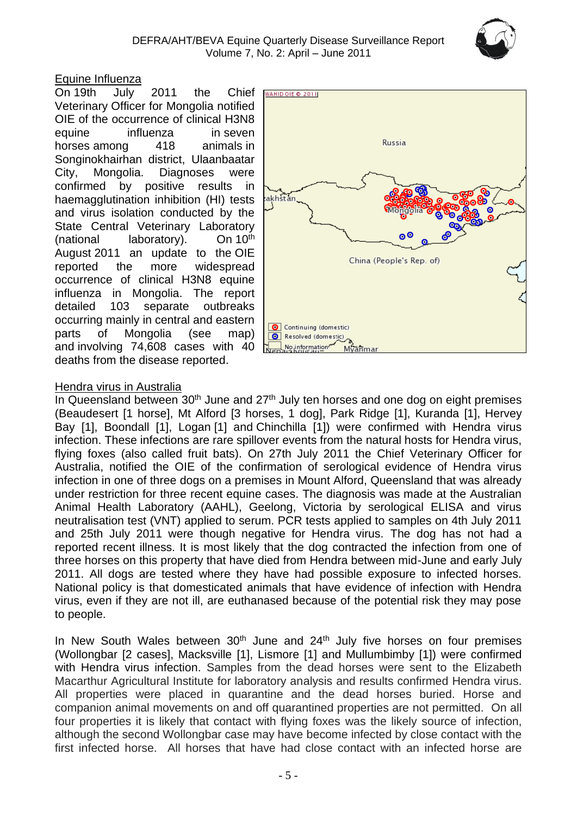#### Equine Influenza

On 19th July 2011 the Chief Veterinary Officer for Mongolia notified OIE of the occurrence of clinical H3N8 equine influenza in seven horses among 418 animals in Songinokhairhan district, Ulaanbaatar City, Mongolia. Diagnoses were confirmed by positive results in haemagglutination inhibition (HI) tests and virus isolation conducted by the State Central Veterinary Laboratory (national laboratory). On 10<sup>th</sup> August 2011 an update to the OIE reported the more widespread occurrence of clinical H3N8 equine influenza in Mongolia. The report detailed 103 separate outbreaks occurring mainly in central and eastern parts of Mongolia (see map) and involving 74,608 cases with 40 deaths from the disease reported.



#### Hendra virus in Australia

In Queensland between 30<sup>th</sup> June and 27<sup>th</sup> July ten horses and one dog on eight premises (Beaudesert [1 horse], Mt Alford [3 horses, 1 dog], Park Ridge [1], Kuranda [1], Hervey Bay [1], Boondall [1], Logan [1] and Chinchilla [1]) were confirmed with Hendra virus infection. These infections are rare spillover events from the natural hosts for Hendra virus, flying foxes (also called fruit bats). On 27th July 2011 the Chief Veterinary Officer for Australia, notified the OIE of the confirmation of serological evidence of Hendra virus infection in one of three dogs on a premises in Mount Alford, Queensland that was already under restriction for three recent equine cases. The diagnosis was made at the Australian Animal Health Laboratory (AAHL), Geelong, Victoria by serological ELISA and virus neutralisation test (VNT) applied to serum. PCR tests applied to samples on 4th July 2011 and 25th July 2011 were though negative for Hendra virus. The dog has not had a reported recent illness. It is most likely that the dog contracted the infection from one of three horses on this property that have died from Hendra between mid-June and early July 2011. All dogs are tested where they have had possible exposure to infected horses. National policy is that domesticated animals that have evidence of infection with Hendra virus, even if they are not ill, are euthanased because of the potential risk they may pose to people.

In New South Wales between  $30<sup>th</sup>$  June and  $24<sup>th</sup>$  July five horses on four premises (Wollongbar [2 cases], Macksville [1], Lismore [1] and Mullumbimby [1]) were confirmed with Hendra virus infection. Samples from the dead horses were sent to the Elizabeth Macarthur Agricultural Institute for laboratory analysis and results confirmed Hendra virus. All properties were placed in quarantine and the dead horses buried. Horse and companion animal movements on and off quarantined properties are not permitted. On all four properties it is likely that contact with flying foxes was the likely source of infection, although the second Wollongbar case may have become infected by close contact with the first infected horse. All horses that have had close contact with an infected horse are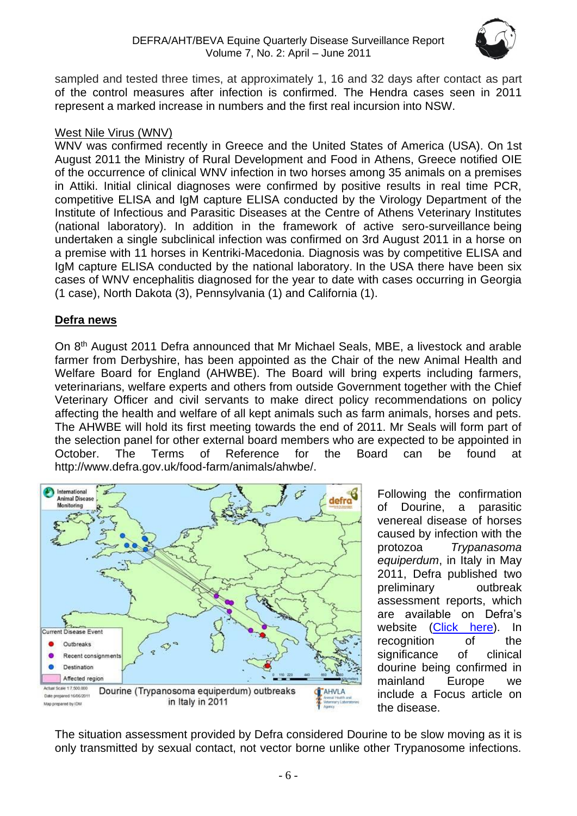

sampled and tested three times, at approximately 1, 16 and 32 days after contact as part of the control measures after infection is confirmed. The Hendra cases seen in 2011 represent a marked increase in numbers and the first real incursion into NSW.

#### West Nile Virus (WNV)

WNV was confirmed recently in Greece and the United States of America (USA). On 1st August 2011 the Ministry of Rural Development and Food in Athens, Greece notified OIE of the occurrence of clinical WNV infection in two horses among 35 animals on a premises in Attiki. Initial clinical diagnoses were confirmed by positive results in real time PCR, competitive ELISA and IgM capture ELISA conducted by the Virology Department of the Institute of Infectious and Parasitic Diseases at the Centre of Athens Veterinary Institutes (national laboratory). In addition in the framework of active sero-surveillance being undertaken a single subclinical infection was confirmed on 3rd August 2011 in a horse on a premise with 11 horses in Kentriki-Macedonia. Diagnosis was by competitive ELISA and IgM capture ELISA conducted by the national laboratory. In the USA there have been six cases of WNV encephalitis diagnosed for the year to date with cases occurring in Georgia (1 case), North Dakota (3), Pennsylvania (1) and California (1).

#### **Defra news**

On 8<sup>th</sup> August 2011 Defra announced that Mr Michael Seals, MBE, a livestock and arable farmer from Derbyshire, has been appointed as the Chair of the new Animal Health and Welfare Board for England (AHWBE). The Board will bring experts including farmers, veterinarians, welfare experts and others from outside Government together with the Chief Veterinary Officer and civil servants to make direct policy recommendations on policy affecting the health and welfare of all kept animals such as farm animals, horses and pets. The AHWBE will hold its first meeting towards the end of 2011. Mr Seals will form part of the selection panel for other external board members who are expected to be appointed in October. The Terms of Reference for the Board can be found at [http://www.defra.gov.uk/food-farm/animals/ahwbe/.](http://www.defra.gov.uk/food-farm/animals/ahwbe/)



Following the confirmation of Dourine, a parasitic venereal disease of horses caused by infection with the protozoa *Trypanasoma equiperdum*, in Italy in May 2011, Defra published two preliminary outbreak assessment reports, which are available on Defra's website [\(Click here\)](http://archive.defra.gov.uk/foodfarm/farmanimal/diseases/monitoring/poa.htm). In recognition of the significance of clinical dourine being confirmed in mainland Europe we include a Focus article on the disease.

The situation assessment provided by Defra considered Dourine to be slow moving as it is only transmitted by sexual contact, not vector borne unlike other Trypanosome infections.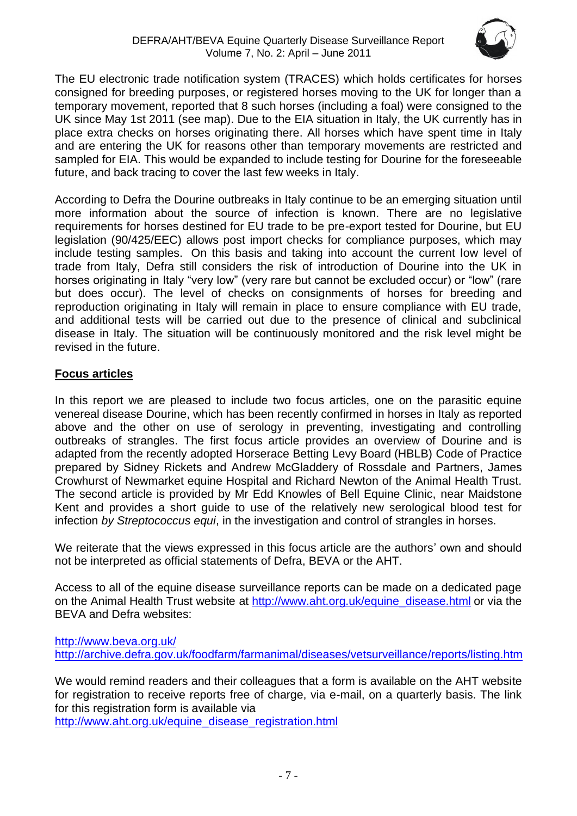

The EU electronic trade notification system (TRACES) which holds certificates for horses consigned for breeding purposes, or registered horses moving to the UK for longer than a temporary movement, reported that 8 such horses (including a foal) were consigned to the UK since May 1st 2011 (see map). Due to the EIA situation in Italy, the UK currently has in place extra checks on horses originating there. All horses which have spent time in Italy and are entering the UK for reasons other than temporary movements are restricted and sampled for EIA. This would be expanded to include testing for Dourine for the foreseeable future, and back tracing to cover the last few weeks in Italy.

According to Defra the Dourine outbreaks in Italy continue to be an emerging situation until more information about the source of infection is known. There are no legislative requirements for horses destined for EU trade to be pre-export tested for Dourine, but EU legislation (90/425/EEC) allows post import checks for compliance purposes, which may include testing samples. On this basis and taking into account the current low level of trade from Italy, Defra still considers the risk of introduction of Dourine into the UK in horses originating in Italy "very low" (very rare but cannot be excluded occur) or "low" (rare but does occur). The level of checks on consignments of horses for breeding and reproduction originating in Italy will remain in place to ensure compliance with EU trade, and additional tests will be carried out due to the presence of clinical and subclinical disease in Italy. The situation will be continuously monitored and the risk level might be revised in the future.

### **Focus articles**

In this report we are pleased to include two focus articles, one on the parasitic equine venereal disease Dourine, which has been recently confirmed in horses in Italy as reported above and the other on use of serology in preventing, investigating and controlling outbreaks of strangles. The first focus article provides an overview of Dourine and is adapted from the recently adopted Horserace Betting Levy Board (HBLB) Code of Practice prepared by Sidney Rickets and Andrew McGladdery of Rossdale and Partners, James Crowhurst of Newmarket equine Hospital and Richard Newton of the Animal Health Trust. The second article is provided by Mr Edd Knowles of Bell Equine Clinic, near Maidstone Kent and provides a short guide to use of the relatively new serological blood test for infection *by Streptococcus equi*, in the investigation and control of strangles in horses.

We reiterate that the views expressed in this focus article are the authors' own and should not be interpreted as official statements of Defra, BEVA or the AHT.

Access to all of the equine disease surveillance reports can be made on a dedicated page on the Animal Health Trust website at [http://www.aht.org.uk/equine\\_disease.html](http://www.aht.org.uk/equine_disease.html) or via the BEVA and Defra websites:

<http://www.beva.org.uk/> [http://archive.defra.gov.uk/foodfarm/farmanimal/diseases/vetsurveillance/](http://archive.defra.gov.uk/foodfarm/farmanimal/diseases/vetsurveillance)reports/listing.htm

We would remind readers and their colleagues that a form is available on the AHT website for registration to receive reports free of charge, via e-mail, on a quarterly basis. The link for this registration form is available via [http://www.aht.org.uk/equine\\_disease\\_registration.html](http://www.aht.org.uk/equine_disease_registration.html)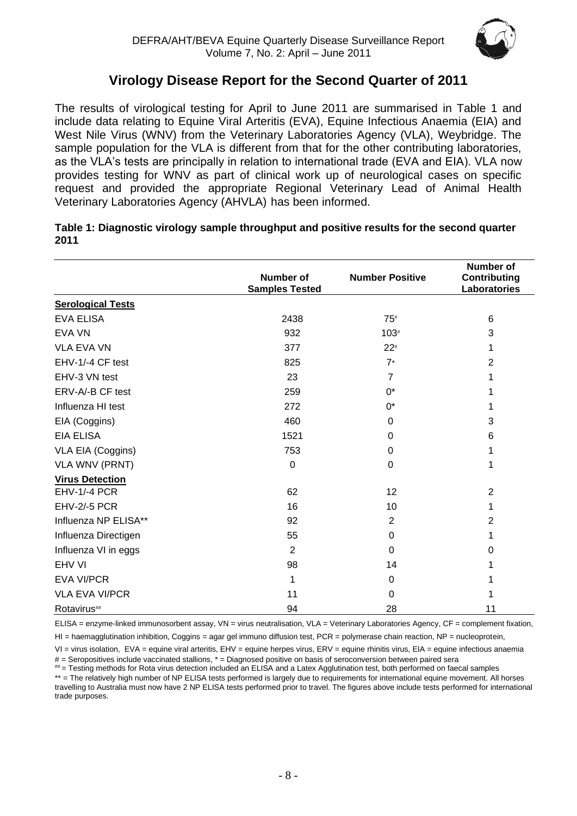

# **Virology Disease Report for the Second Quarter of 2011**

The results of virological testing for April to June 2011 are summarised in Table 1 and include data relating to Equine Viral Arteritis (EVA), Equine Infectious Anaemia (EIA) and West Nile Virus (WNV) from the Veterinary Laboratories Agency (VLA), Weybridge. The sample population for the VLA is different from that for the other contributing laboratories, as the VLA's tests are principally in relation to international trade (EVA and EIA). VLA now provides testing for WNV as part of clinical work up of neurological cases on specific request and provided the appropriate Regional Veterinary Lead of Animal Health Veterinary Laboratories Agency (AHVLA) has been informed.

| Table 1: Diagnostic virology sample throughput and positive results for the second quarter |  |
|--------------------------------------------------------------------------------------------|--|
| 2011                                                                                       |  |

|                          | <b>Number of</b><br><b>Samples Tested</b> | <b>Number Positive</b> | <b>Number of</b><br><b>Contributing</b><br>Laboratories |
|--------------------------|-------------------------------------------|------------------------|---------------------------------------------------------|
| <b>Serological Tests</b> |                                           |                        |                                                         |
| <b>EVA ELISA</b>         | 2438                                      | $75*$                  | 6                                                       |
| EVA VN                   | 932                                       | $103*$                 | 3                                                       |
| <b>VLA EVA VN</b>        | 377                                       | $22*$                  | 1                                                       |
| EHV-1/-4 CF test         | 825                                       | $7*$                   | $\overline{2}$                                          |
| EHV-3 VN test            | 23                                        | $\overline{7}$         | 1                                                       |
| ERV-A/-B CF test         | 259                                       | $0^*$                  |                                                         |
| Influenza HI test        | 272                                       | 0*                     |                                                         |
| EIA (Coggins)            | 460                                       | 0                      | 3                                                       |
| <b>EIA ELISA</b>         | 1521                                      | $\mathbf 0$            | 6                                                       |
| VLA EIA (Coggins)        | 753                                       | $\mathbf 0$            |                                                         |
| <b>VLA WNV (PRNT)</b>    | 0                                         | 0                      | 1                                                       |
| <b>Virus Detection</b>   |                                           |                        |                                                         |
| <b>EHV-1/-4 PCR</b>      | 62                                        | 12                     | $\overline{2}$                                          |
| <b>EHV-2/-5 PCR</b>      | 16                                        | 10                     | 1                                                       |
| Influenza NP ELISA**     | 92                                        | 2                      | $\overline{2}$                                          |
| Influenza Directigen     | 55                                        | 0                      | 1                                                       |
| Influenza VI in eggs     | $\overline{2}$                            | $\Omega$               | 0                                                       |
| EHV VI                   | 98                                        | 14                     |                                                         |
| <b>EVA VI/PCR</b>        | 1                                         | $\mathbf 0$            |                                                         |
| <b>VLA EVA VI/PCR</b>    | 11                                        | $\Omega$               |                                                         |
| Rotavirus##              | 94                                        | 28                     | 11                                                      |

ELISA = enzyme-linked immunosorbent assay, VN = virus neutralisation, VLA = Veterinary Laboratories Agency, CF = complement fixation,

 $H =$  haemagglutination inhibition, Coggins = agar gel immuno diffusion test, PCR = polymerase chain reaction, NP = nucleoprotein,

VI = virus isolation, EVA = equine viral arteritis, EHV = equine herpes virus, ERV = equine rhinitis virus, EIA = equine infectious anaemia  $#$  = Seropositives include vaccinated stallions,  $*$  = Diagnosed positive on basis of seroconversion between paired sera

## = Testing methods for Rota virus detection included an ELISA and a Latex Agglutination test, both performed on faecal samples \*\* = The relatively high number of NP ELISA tests performed is largely due to requirements for international equine movement. All horses travelling to Australia must now have 2 NP ELISA tests performed prior to travel. The figures above include tests performed for international trade purposes.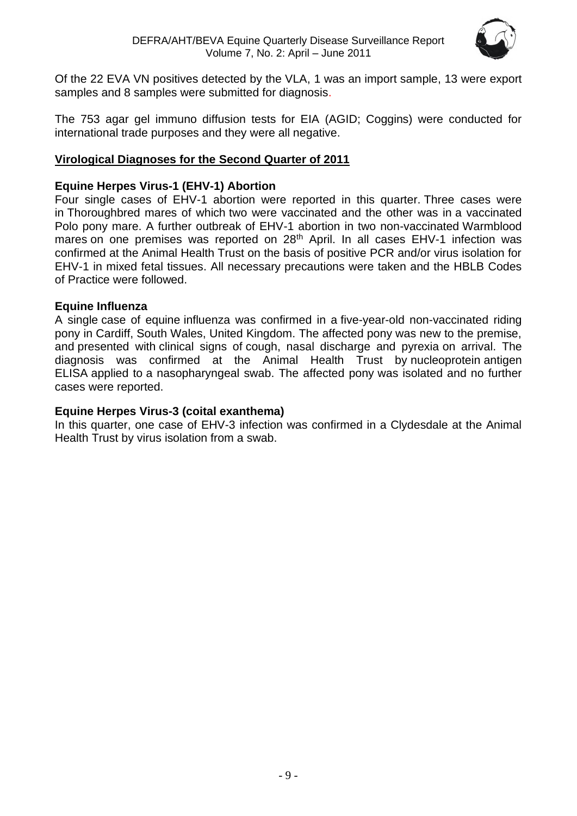

Of the 22 EVA VN positives detected by the VLA, 1 was an import sample, 13 were export samples and 8 samples were submitted for diagnosis.

The 753 agar gel immuno diffusion tests for EIA (AGID; Coggins) were conducted for international trade purposes and they were all negative.

#### **Virological Diagnoses for the Second Quarter of 2011**

#### **Equine Herpes Virus-1 (EHV-1) Abortion**

Four single cases of EHV-1 abortion were reported in this quarter. Three cases were in Thoroughbred mares of which two were vaccinated and the other was in a vaccinated Polo pony mare. A further outbreak of EHV-1 abortion in two non-vaccinated Warmblood mares on one premises was reported on 28<sup>th</sup> April. In all cases EHV-1 infection was confirmed at the Animal Health Trust on the basis of positive PCR and/or virus isolation for EHV-1 in mixed fetal tissues. All necessary precautions were taken and the HBLB Codes of Practice were followed.

#### **Equine Influenza**

A single case of equine influenza was confirmed in a five-year-old non-vaccinated riding pony in Cardiff, South Wales, United Kingdom. The affected pony was new to the premise, and presented with clinical signs of cough, nasal discharge and pyrexia on arrival. The diagnosis was confirmed at the Animal Health Trust by nucleoprotein antigen ELISA applied to a nasopharyngeal swab. The affected pony was isolated and no further cases were reported.

#### **Equine Herpes Virus-3 (coital exanthema)**

In this quarter, one case of EHV-3 infection was confirmed in a Clydesdale at the Animal Health Trust by virus isolation from a swab.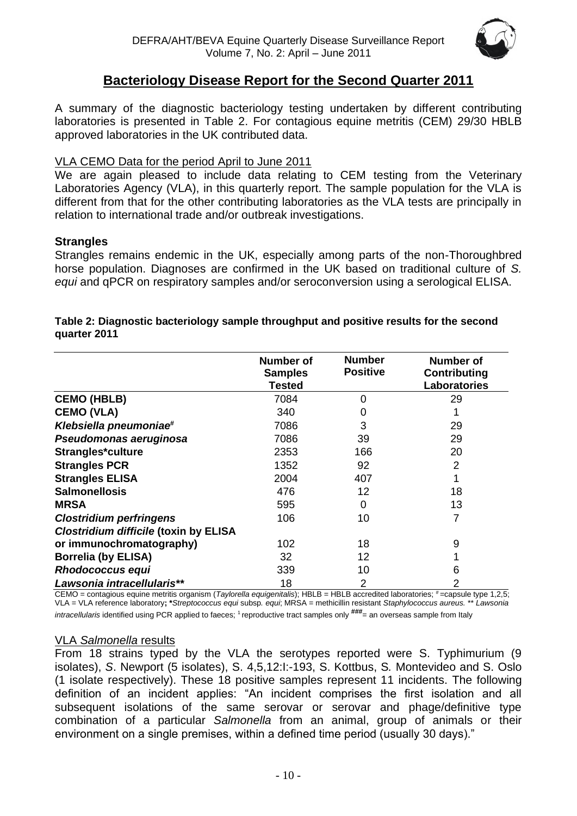

# **Bacteriology Disease Report for the Second Quarter 2011**

A summary of the diagnostic bacteriology testing undertaken by different contributing laboratories is presented in Table 2. For contagious equine metritis (CEM) 29/30 HBLB approved laboratories in the UK contributed data.

#### VLA CEMO Data for the period April to June 2011

We are again pleased to include data relating to CEM testing from the Veterinary Laboratories Agency (VLA), in this quarterly report. The sample population for the VLA is different from that for the other contributing laboratories as the VLA tests are principally in relation to international trade and/or outbreak investigations.

#### **Strangles**

Strangles remains endemic in the UK, especially among parts of the non-Thoroughbred horse population. Diagnoses are confirmed in the UK based on traditional culture of *S. equi* and qPCR on respiratory samples and/or seroconversion using a serological ELISA.

|                                              | <b>Number of</b><br><b>Samples</b><br>Tested | <b>Number</b><br><b>Positive</b> | <b>Number of</b><br><b>Contributing</b><br><b>Laboratories</b> |
|----------------------------------------------|----------------------------------------------|----------------------------------|----------------------------------------------------------------|
| <b>CEMO (HBLB)</b>                           | 7084                                         | 0                                | 29                                                             |
| <b>CEMO (VLA)</b>                            | 340                                          | 0                                |                                                                |
| Klebsiella pneumoniae#                       | 7086                                         | 3                                | 29                                                             |
| Pseudomonas aeruginosa                       | 7086                                         | 39                               | 29                                                             |
| Strangles*culture                            | 2353                                         | 166                              | 20                                                             |
| <b>Strangles PCR</b>                         | 1352                                         | 92                               | 2                                                              |
| <b>Strangles ELISA</b>                       | 2004                                         | 407                              |                                                                |
| <b>Salmonellosis</b>                         | 476                                          | 12                               | 18                                                             |
| <b>MRSA</b>                                  | 595                                          | 0                                | 13                                                             |
| <b>Clostridium perfringens</b>               | 106                                          | 10                               | 7                                                              |
| <b>Clostridium difficile (toxin by ELISA</b> |                                              |                                  |                                                                |
| or immunochromatography)                     | 102                                          | 18                               | 9                                                              |
| <b>Borrelia (by ELISA)</b>                   | 32                                           | 12                               |                                                                |
| <b>Rhodococcus equi</b>                      | 339                                          | 10                               | 6                                                              |
| Lawsonia intracellularis**                   | 18                                           | $\overline{2}$                   | $\overline{2}$                                                 |

#### **Table 2: Diagnostic bacteriology sample throughput and positive results for the second quarter 2011**

CEMO = contagious equine metritis organism (*Taylorella equigenitalis*); HBLB = HBLB accredited laboratories; #=capsule type 1,2,5; VLA = VLA reference laboratory**; \****Streptococcus equi* subsp*. equi*; MRSA = methicillin resistant *Staphylococcus aureus.* \*\* *Lawsonia*  intracellularis identified using PCR applied to faeces; <sup>1</sup> reproductive tract samples only  $\frac{$ \# #}{=} an overseas sample from Italy

#### VLA *Salmonella* results

From 18 strains typed by the VLA the serotypes reported were S. Typhimurium (9 isolates), *S*. Newport (5 isolates), S. 4,5,12:I:-193, S. Kottbus, S*.* Montevideo and S. Oslo (1 isolate respectively). These 18 positive samples represent 11 incidents. The following definition of an incident applies: "An incident comprises the first isolation and all subsequent isolations of the same serovar or serovar and phage/definitive type combination of a particular *Salmonella* from an animal, group of animals or their environment on a single premises, within a defined time period (usually 30 days)."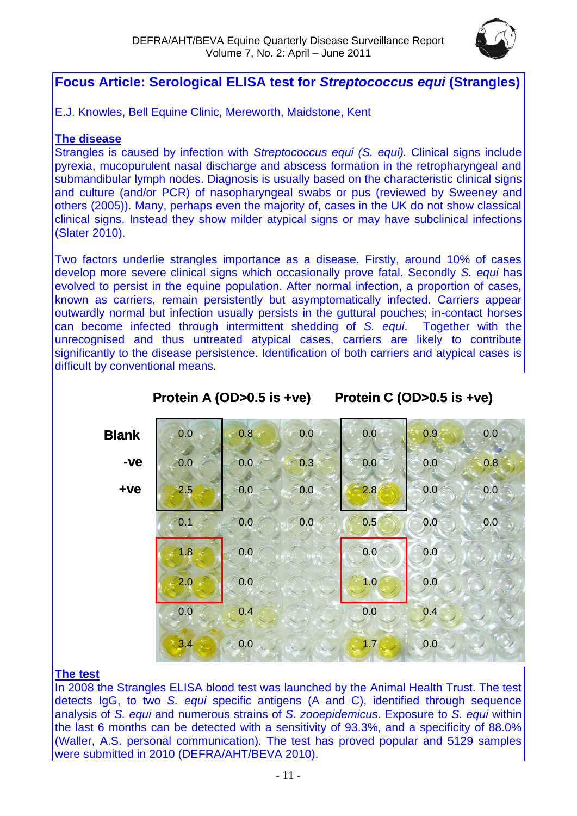

# **Focus Article: Serological ELISA test for** *Streptococcus equi* **(Strangles)**

E.J. Knowles, Bell Equine Clinic, Mereworth, Maidstone, Kent

#### **The disease**

Strangles is caused by infection with *Streptococcus equi (S. equi).* Clinical signs include pyrexia, mucopurulent nasal discharge and abscess formation in the retropharyngeal and submandibular lymph nodes. Diagnosis is usually based on the characteristic clinical signs and culture (and/or PCR) of nasopharyngeal swabs or pus (reviewed by Sweeney and others (2005)). Many, perhaps even the majority of, cases in the UK do not show classical clinical signs. Instead they show milder atypical signs or may have subclinical infections (Slater 2010).

Two factors underlie strangles importance as a disease. Firstly, around 10% of cases develop more severe clinical signs which occasionally prove fatal. Secondly *S. equi* has evolved to persist in the equine population. After normal infection, a proportion of cases, known as carriers, remain persistently but asymptomatically infected. Carriers appear outwardly normal but infection usually persists in the guttural pouches; in-contact horses can become infected through intermittent shedding of *S. equi*. Together with the unrecognised and thus untreated atypical cases, carriers are likely to contribute significantly to the disease persistence. Identification of both carriers and atypical cases is difficult by conventional means.

| <b>Blank</b> | 0.0 | 0.8           | 0.0    | 0.0 | 0.9                             | 0.0 |
|--------------|-----|---------------|--------|-----|---------------------------------|-----|
| -ve          | 0.0 | 0.0           | 0.3    | 0.0 | 0.0                             | 0.8 |
| $+ve$        | 2.5 | 0.0           | $-0.0$ | 2.8 | 0.0                             | 0.0 |
|              | 0.1 | 0.0           | 0.0    | 0.5 | 0.0                             | 0.0 |
|              | 1.8 | 0.0           |        | 0.0 | 0.0                             |     |
|              | 2.0 | 0.0           |        | 1.0 | 0.0                             |     |
|              | 0.0 | 0.4           |        | 0.0 | 0.4                             |     |
|              | 3,4 | $\approx 0.0$ |        | 1.7 | 0.0<br>$\overline{\phantom{a}}$ |     |

**Protein A (OD>0.5 is +ve) Protein C (OD>0.5 is +ve)**

#### **The test**

In 2008 the Strangles ELISA blood test was launched by the Animal Health Trust. The test detects IgG, to two *S. equi* specific antigens (A and C), identified through sequence analysis of *S. equi* and numerous strains of *S. zooepidemicus*. Exposure to *S. equi* within the last 6 months can be detected with a sensitivity of 93.3%, and a specificity of 88.0% (Waller, A.S. personal communication). The test has proved popular and 5129 samples were submitted in 2010 (DEFRA/AHT/BEVA 2010).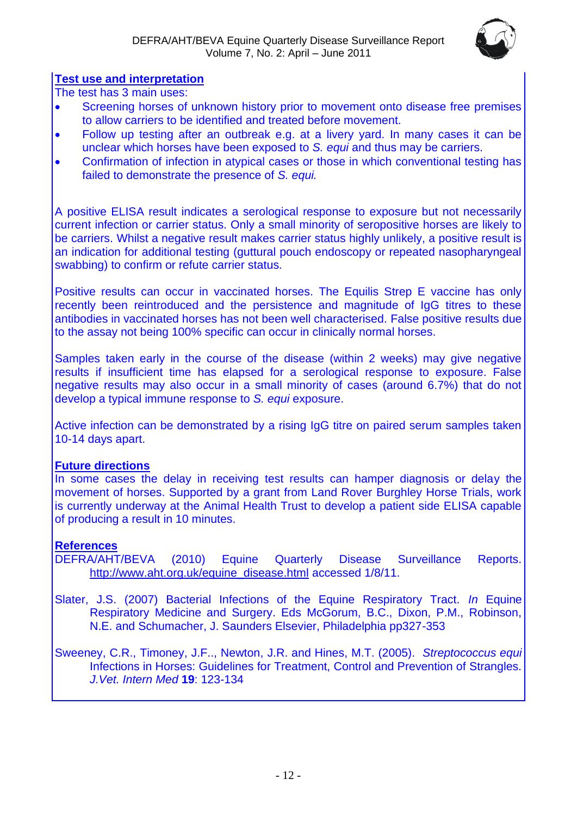

#### **Test use and interpretation**

The test has 3 main uses:

- Screening horses of unknown history prior to movement onto disease free premises to allow carriers to be identified and treated before movement.
- Follow up testing after an outbreak e.g. at a livery yard. In many cases it can be unclear which horses have been exposed to *S. equi* and thus may be carriers.
- Confirmation of infection in atypical cases or those in which conventional testing has failed to demonstrate the presence of *S. equi.*

A positive ELISA result indicates a serological response to exposure but not necessarily current infection or carrier status. Only a small minority of seropositive horses are likely to be carriers. Whilst a negative result makes carrier status highly unlikely, a positive result is an indication for additional testing (guttural pouch endoscopy or repeated nasopharyngeal swabbing) to confirm or refute carrier status.

Positive results can occur in vaccinated horses. The Equilis Strep E vaccine has only recently been reintroduced and the persistence and magnitude of IgG titres to these antibodies in vaccinated horses has not been well characterised. False positive results due to the assay not being 100% specific can occur in clinically normal horses.

Samples taken early in the course of the disease (within 2 weeks) may give negative results if insufficient time has elapsed for a serological response to exposure. False negative results may also occur in a small minority of cases (around 6.7%) that do not develop a typical immune response to *S. equi* exposure.

Active infection can be demonstrated by a rising IgG titre on paired serum samples taken 10-14 days apart.

#### **Future directions**

In some cases the delay in receiving test results can hamper diagnosis or delay the movement of horses. Supported by a grant from Land Rover Burghley Horse Trials, work is currently underway at the Animal Health Trust to develop a patient side ELISA capable of producing a result in 10 minutes.

#### **References**

- DEFRA/AHT/BEVA (2010) Equine Quarterly Disease Surveillance Reports. [http://www.aht.org.uk/equine\\_disease.html](http://www.aht.org.uk/equine_disease.html) accessed 1/8/11.
- Slater, J.S. (2007) Bacterial Infections of the Equine Respiratory Tract. *In* Equine Respiratory Medicine and Surgery. Eds McGorum, B.C., Dixon, P.M., Robinson, N.E. and Schumacher, J. Saunders Elsevier, Philadelphia pp327-353

Sweeney, C.R., Timoney, J.F.., Newton, J.R. and Hines, M.T. (2005). *Streptococcus equi*  Infections in Horses: Guidelines for Treatment, Control and Prevention of Strangles. *J.Vet. Intern Med* **19**: 123-134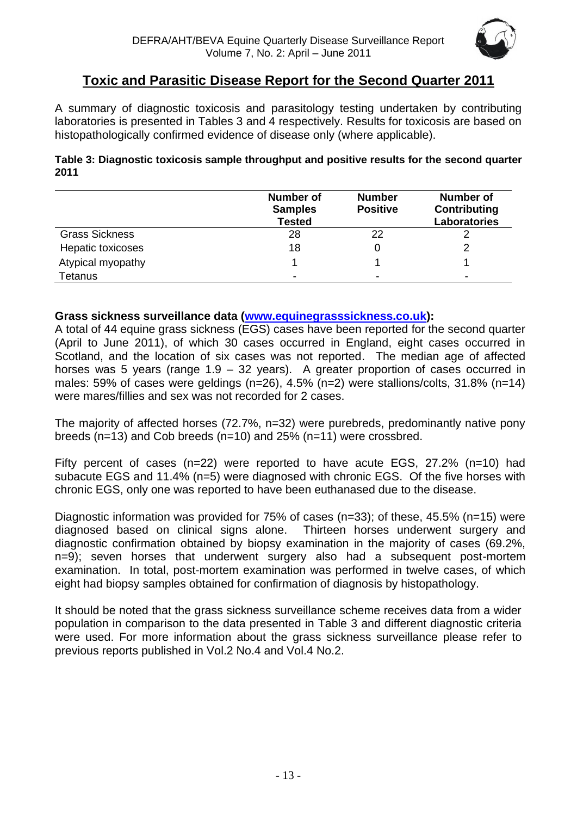

# **Toxic and Parasitic Disease Report for the Second Quarter 2011**

A summary of diagnostic toxicosis and parasitology testing undertaken by contributing laboratories is presented in Tables 3 and 4 respectively. Results for toxicosis are based on histopathologically confirmed evidence of disease only (where applicable).

#### **Table 3: Diagnostic toxicosis sample throughput and positive results for the second quarter 2011**

|                       | <b>Number of</b><br><b>Samples</b><br><b>Tested</b> | <b>Number</b><br><b>Positive</b> | <b>Number of</b><br>Contributing<br><b>Laboratories</b> |
|-----------------------|-----------------------------------------------------|----------------------------------|---------------------------------------------------------|
| <b>Grass Sickness</b> | 28                                                  | 22                               |                                                         |
| Hepatic toxicoses     | 18                                                  |                                  |                                                         |
| Atypical myopathy     |                                                     |                                  |                                                         |
| Tetanus               | -                                                   | $\overline{\phantom{0}}$         | -                                                       |

#### **Grass sickness surveillance data [\(www.equinegrasssickness.co.uk\)](http://www.equinegrasssickness.co.uk/):**

A total of 44 equine grass sickness (EGS) cases have been reported for the second quarter (April to June 2011), of which 30 cases occurred in England, eight cases occurred in Scotland, and the location of six cases was not reported. The median age of affected horses was 5 years (range 1.9 – 32 years). A greater proportion of cases occurred in males: 59% of cases were geldings (n=26), 4.5% (n=2) were stallions/colts, 31.8% (n=14) were mares/fillies and sex was not recorded for 2 cases.

The majority of affected horses (72.7%, n=32) were purebreds, predominantly native pony breeds (n=13) and Cob breeds (n=10) and 25% (n=11) were crossbred.

Fifty percent of cases (n=22) were reported to have acute EGS, 27.2% (n=10) had subacute EGS and 11.4% (n=5) were diagnosed with chronic EGS. Of the five horses with chronic EGS, only one was reported to have been euthanased due to the disease.

Diagnostic information was provided for 75% of cases (n=33); of these, 45.5% (n=15) were diagnosed based on clinical signs alone. Thirteen horses underwent surgery and diagnostic confirmation obtained by biopsy examination in the majority of cases (69.2%, n=9); seven horses that underwent surgery also had a subsequent post-mortem examination. In total, post-mortem examination was performed in twelve cases, of which eight had biopsy samples obtained for confirmation of diagnosis by histopathology.

It should be noted that the grass sickness surveillance scheme receives data from a wider population in comparison to the data presented in Table 3 and different diagnostic criteria were used. For more information about the grass sickness surveillance please refer to previous reports published in Vol.2 No.4 and Vol.4 No.2.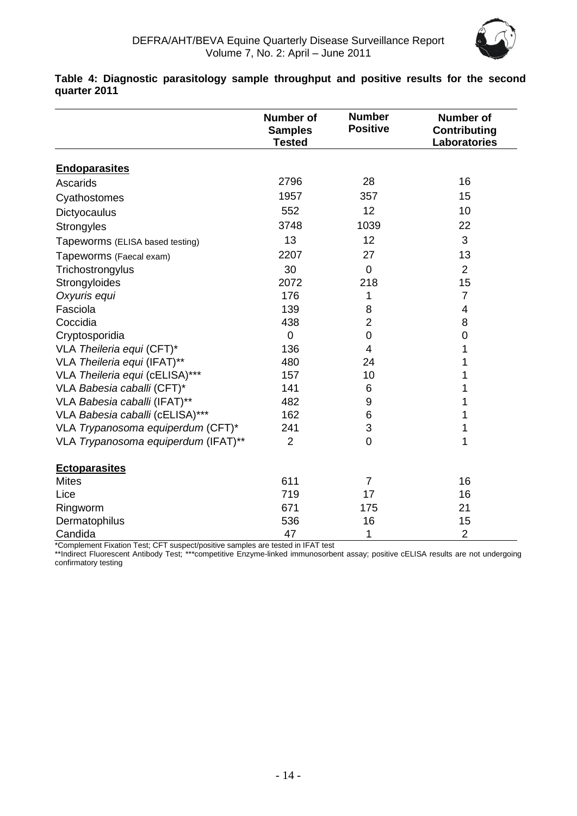

|                                     | <b>Number of</b><br><b>Samples</b><br><b>Tested</b> | <b>Number</b><br><b>Positive</b> | <b>Number of</b><br><b>Contributing</b><br>Laboratories |
|-------------------------------------|-----------------------------------------------------|----------------------------------|---------------------------------------------------------|
| <b>Endoparasites</b>                |                                                     |                                  |                                                         |
| Ascarids                            | 2796                                                | 28                               | 16                                                      |
| Cyathostomes                        | 1957                                                | 357                              | 15                                                      |
| Dictyocaulus                        | 552                                                 | 12                               | 10                                                      |
| Strongyles                          | 3748                                                | 1039                             | 22                                                      |
| Tapeworms (ELISA based testing)     | 13                                                  | 12                               | 3                                                       |
| Tapeworms (Faecal exam)             | 2207                                                | 27                               | 13                                                      |
| Trichostrongylus                    | 30                                                  | 0                                | $\overline{2}$                                          |
| Strongyloides                       | 2072                                                | 218                              | 15                                                      |
| Oxyuris equi                        | 176                                                 | 1                                | $\overline{7}$                                          |
| Fasciola                            | 139                                                 | 8                                | 4                                                       |
| Coccidia                            | 438                                                 | 2                                | 8                                                       |
| Cryptosporidia                      | $\overline{0}$                                      | 0                                | $\boldsymbol{0}$                                        |
| VLA Theileria equi (CFT)*           | 136                                                 | 4                                | 1                                                       |
| VLA Theileria equi (IFAT)**         | 480                                                 | 24                               | 1                                                       |
| VLA Theileria equi (cELISA)***      | 157                                                 | 10                               | 1                                                       |
| VLA Babesia caballi (CFT)*          | 141                                                 | 6                                | 1                                                       |
| VLA Babesia caballi (IFAT)**        | 482                                                 | 9                                | 1                                                       |
| VLA Babesia caballi (cELISA)***     | 162                                                 | 6                                | 1                                                       |
| VLA Trypanosoma equiperdum (CFT)*   | 241                                                 | 3                                | 1                                                       |
| VLA Trypanosoma equiperdum (IFAT)** | $\overline{2}$                                      | $\overline{0}$                   | 1                                                       |
| <b>Ectoparasites</b>                |                                                     |                                  |                                                         |
| <b>Mites</b>                        | 611                                                 | $\overline{7}$                   | 16                                                      |
| Lice                                | 719                                                 | 17                               | 16                                                      |
| Ringworm                            | 671                                                 | 175                              | 21                                                      |
| Dermatophilus                       | 536                                                 | 16                               | 15                                                      |
| Candida                             | 47                                                  | 1                                | $\overline{2}$                                          |

**Table 4: Diagnostic parasitology sample throughput and positive results for the second quarter 2011**

\*Complement Fixation Test; CFT suspect/positive samples are tested in IFAT test

\*\*Indirect Fluorescent Antibody Test; \*\*\*competitive Enzyme-linked immunosorbent assay; positive cELISA results are not undergoing confirmatory testing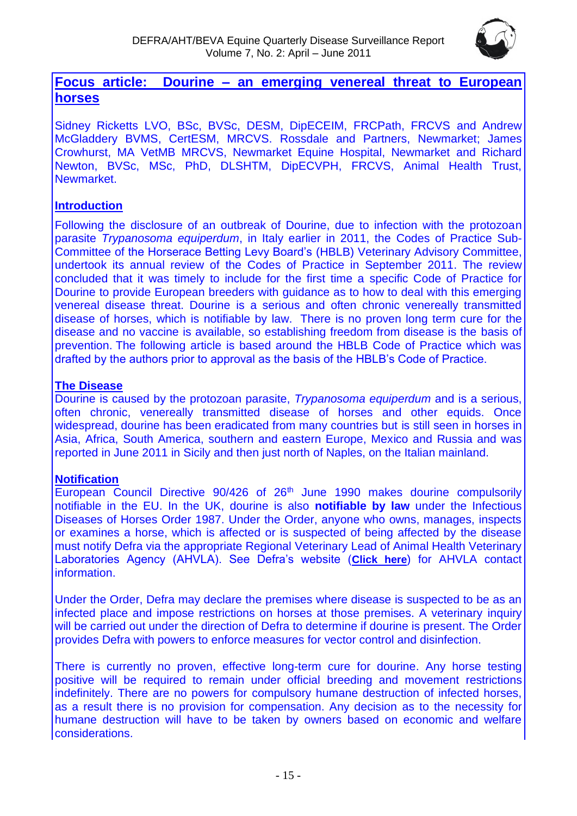

# **Focus article: Dourine – an emerging venereal threat to European horses**

Sidney Ricketts LVO, BSc, BVSc, DESM, DipECEIM, FRCPath, FRCVS and Andrew McGladdery BVMS, CertESM, MRCVS. Rossdale and Partners, Newmarket; James Crowhurst, MA VetMB MRCVS, Newmarket Equine Hospital, Newmarket and Richard Newton, BVSc, MSc, PhD, DLSHTM, DipECVPH, FRCVS, Animal Health Trust, Newmarket.

#### **Introduction**

Following the disclosure of an outbreak of Dourine, due to infection with the protozoan parasite *Trypanosoma equiperdum*, in Italy earlier in 2011, the Codes of Practice Sub-Committee of the Horserace Betting Levy Board's (HBLB) Veterinary Advisory Committee, undertook its annual review of the Codes of Practice in September 2011. The review concluded that it was timely to include for the first time a specific Code of Practice for Dourine to provide European breeders with guidance as to how to deal with this emerging venereal disease threat. Dourine is a serious and often chronic venereally transmitted disease of horses, which is notifiable by law. There is no proven long term cure for the disease and no vaccine is available, so establishing freedom from disease is the basis of prevention. The following article is based around the HBLB Code of Practice which was drafted by the authors prior to approval as the basis of the HBLB's Code of Practice.

### **The Disease**

Dourine is caused by the protozoan parasite, *Trypanosoma equiperdum* and is a serious, often chronic, venereally transmitted disease of horses and other equids. Once widespread, dourine has been eradicated from many countries but is still seen in horses in Asia, Africa, South America, southern and eastern Europe, Mexico and Russia and was reported in June 2011 in Sicily and then just north of Naples, on the Italian mainland.

# **Notification**

European Council Directive 90/426 of 26<sup>th</sup> June 1990 makes dourine compulsorily notifiable in the EU. In the UK, dourine is also **notifiable by law** under the Infectious Diseases of Horses Order 1987. Under the Order, anyone who owns, manages, inspects or examines a horse, which is affected or is suspected of being affected by the disease must notify Defra via the appropriate Regional Veterinary Lead of Animal Health Veterinary Laboratories Agency (AHVLA). See Defra's website (**[Click here](http://animalhealth.defra.gov.uk/about/contact-us/officemap.html)**) for AHVLA contact information.

Under the Order, Defra may declare the premises where disease is suspected to be as an infected place and impose restrictions on horses at those premises. A veterinary inquiry will be carried out under the direction of Defra to determine if dourine is present. The Order provides Defra with powers to enforce measures for vector control and disinfection.

There is currently no proven, effective long-term cure for dourine. Any horse testing positive will be required to remain under official breeding and movement restrictions indefinitely. There are no powers for compulsory humane destruction of infected horses, as a result there is no provision for compensation. Any decision as to the necessity for humane destruction will have to be taken by owners based on economic and welfare considerations.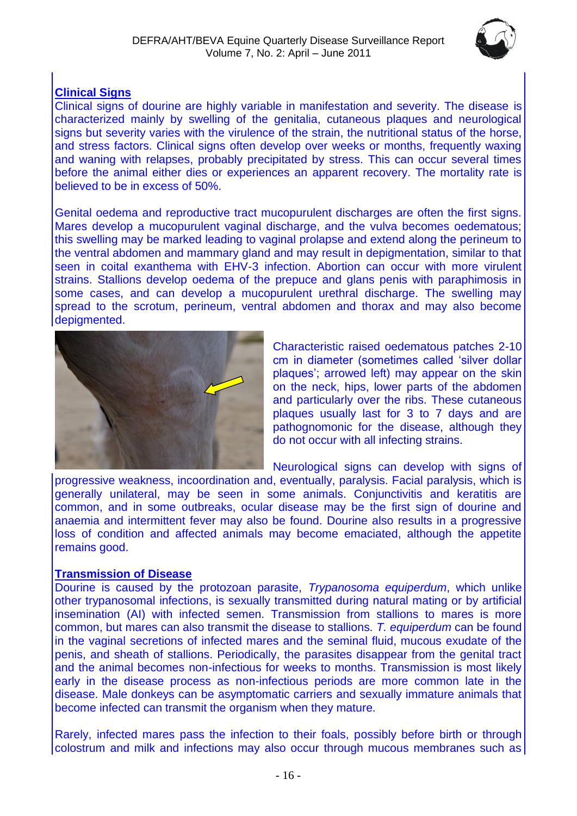

## **Clinical Signs**

Clinical signs of dourine are highly variable in manifestation and severity. The disease is characterized mainly by swelling of the genitalia, cutaneous plaques and neurological signs but severity varies with the virulence of the strain, the nutritional status of the horse, and stress factors. Clinical signs often develop over weeks or months, frequently waxing and waning with relapses, probably precipitated by stress. This can occur several times before the animal either dies or experiences an apparent recovery. The mortality rate is believed to be in excess of 50%.

Genital oedema and reproductive tract mucopurulent discharges are often the first signs. Mares develop a mucopurulent vaginal discharge, and the vulva becomes oedematous; this swelling may be marked leading to vaginal prolapse and extend along the perineum to the ventral abdomen and mammary gland and may result in depigmentation, similar to that seen in coital exanthema with EHV-3 infection. Abortion can occur with more virulent strains. Stallions develop oedema of the prepuce and glans penis with paraphimosis in some cases, and can develop a mucopurulent urethral discharge. The swelling may spread to the scrotum, perineum, ventral abdomen and thorax and may also become depigmented.



Characteristic raised oedematous patches 2-10 cm in diameter (sometimes called 'silver dollar plaques'; arrowed left) may appear on the skin on the neck, hips, lower parts of the abdomen and particularly over the ribs. These cutaneous plaques usually last for 3 to 7 days and are pathognomonic for the disease, although they do not occur with all infecting strains.

Neurological signs can develop with signs of

progressive weakness, incoordination and, eventually, paralysis. Facial paralysis, which is generally unilateral, may be seen in some animals. Conjunctivitis and keratitis are common, and in some outbreaks, ocular disease may be the first sign of dourine and anaemia and intermittent fever may also be found. Dourine also results in a progressive loss of condition and affected animals may become emaciated, although the appetite remains good.

#### **Transmission of Disease**

Dourine is caused by the protozoan parasite, *Trypanosoma equiperdum*, which unlike other trypanosomal infections, is sexually transmitted during natural mating or by artificial insemination (AI) with infected semen. Transmission from stallions to mares is more common, but mares can also transmit the disease to stallions. *T. equiperdum* can be found in the vaginal secretions of infected mares and the seminal fluid, mucous exudate of the penis, and sheath of stallions. Periodically, the parasites disappear from the genital tract and the animal becomes non-infectious for weeks to months. Transmission is most likely early in the disease process as non-infectious periods are more common late in the disease. Male donkeys can be asymptomatic carriers and sexually immature animals that become infected can transmit the organism when they mature.

Rarely, infected mares pass the infection to their foals, possibly before birth or through colostrum and milk and infections may also occur through mucous membranes such as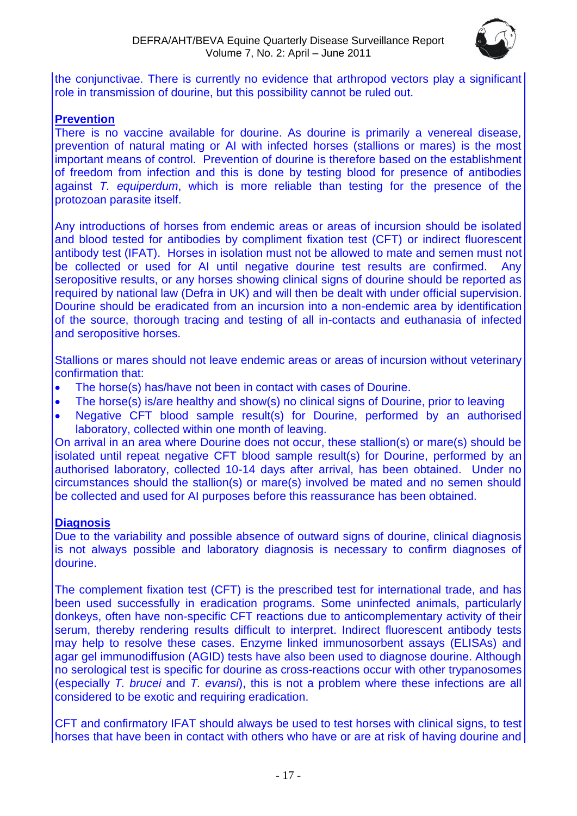

the conjunctivae. There is currently no evidence that arthropod vectors play a significant role in transmission of dourine, but this possibility cannot be ruled out.

#### **Prevention**

There is no vaccine available for dourine. As dourine is primarily a venereal disease, prevention of natural mating or AI with infected horses (stallions or mares) is the most important means of control. Prevention of dourine is therefore based on the establishment of freedom from infection and this is done by testing blood for presence of antibodies against *T. equiperdum*, which is more reliable than testing for the presence of the protozoan parasite itself.

Any introductions of horses from endemic areas or areas of incursion should be isolated and blood tested for antibodies by compliment fixation test (CFT) or indirect fluorescent antibody test (IFAT). Horses in isolation must not be allowed to mate and semen must not be collected or used for AI until negative dourine test results are confirmed. Any seropositive results, or any horses showing clinical signs of dourine should be reported as required by national law (Defra in UK) and will then be dealt with under official supervision. Dourine should be eradicated from an incursion into a non-endemic area by identification of the source, thorough tracing and testing of all in-contacts and euthanasia of infected and seropositive horses.

Stallions or mares should not leave endemic areas or areas of incursion without veterinary confirmation that:

- The horse(s) has/have not been in contact with cases of Dourine.
- The horse(s) is/are healthy and show(s) no clinical signs of Dourine, prior to leaving
- Negative CFT blood sample result(s) for Dourine, performed by an authorised laboratory, collected within one month of leaving.

On arrival in an area where Dourine does not occur, these stallion(s) or mare(s) should be isolated until repeat negative CFT blood sample result(s) for Dourine, performed by an authorised laboratory, collected 10-14 days after arrival, has been obtained. Under no circumstances should the stallion(s) or mare(s) involved be mated and no semen should be collected and used for AI purposes before this reassurance has been obtained.

#### **Diagnosis**

Due to the variability and possible absence of outward signs of dourine, clinical diagnosis is not always possible and laboratory diagnosis is necessary to confirm diagnoses of dourine.

The complement fixation test (CFT) is the prescribed test for international trade, and has been used successfully in eradication programs. Some uninfected animals, particularly donkeys, often have non-specific CFT reactions due to anticomplementary activity of their serum, thereby rendering results difficult to interpret. Indirect fluorescent antibody tests may help to resolve these cases. Enzyme linked immunosorbent assays (ELISAs) and agar gel immunodiffusion (AGID) tests have also been used to diagnose dourine. Although no serological test is specific for dourine as cross-reactions occur with other trypanosomes (especially *T. brucei* and *T. evansi*), this is not a problem where these infections are all considered to be exotic and requiring eradication.

CFT and confirmatory IFAT should always be used to test horses with clinical signs, to test horses that have been in contact with others who have or are at risk of having dourine and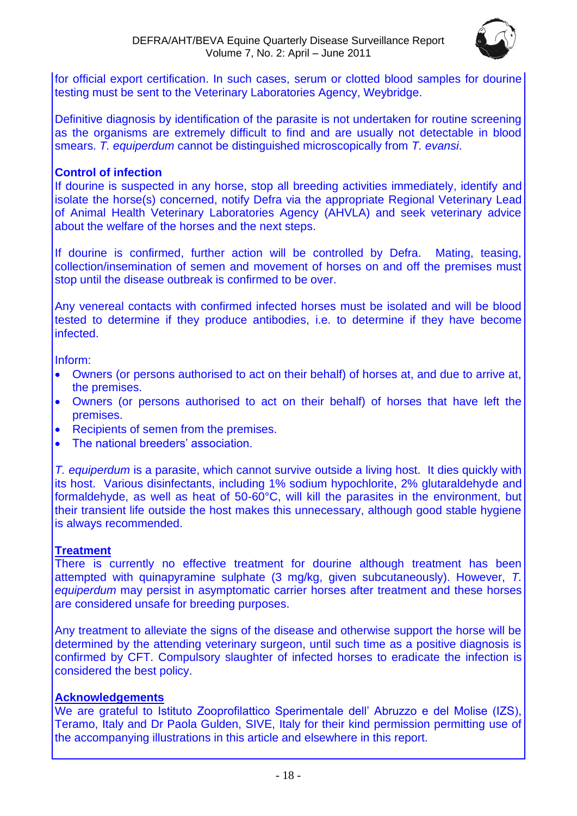

for official export certification. In such cases, serum or clotted blood samples for dourine testing must be sent to the Veterinary Laboratories Agency, Weybridge.

Definitive diagnosis by identification of the parasite is not undertaken for routine screening as the organisms are extremely difficult to find and are usually not detectable in blood smears. *T. equiperdum* cannot be distinguished microscopically from *T. evansi*.

#### **Control of infection**

If dourine is suspected in any horse, stop all breeding activities immediately, identify and isolate the horse(s) concerned, notify Defra via the appropriate Regional Veterinary Lead of Animal Health Veterinary Laboratories Agency (AHVLA) and seek veterinary advice about the welfare of the horses and the next steps.

If dourine is confirmed, further action will be controlled by Defra. Mating, teasing, collection/insemination of semen and movement of horses on and off the premises must stop until the disease outbreak is confirmed to be over.

Any venereal contacts with confirmed infected horses must be isolated and will be blood tested to determine if they produce antibodies, i.e. to determine if they have become infected.

Inform:

- Owners (or persons authorised to act on their behalf) of horses at, and due to arrive at, the premises.
- Owners (or persons authorised to act on their behalf) of horses that have left the premises.
- Recipients of semen from the premises.
- The national breeders' association.

*T. equiperdum* is a parasite, which cannot survive outside a living host. It dies quickly with its host. Various disinfectants, including 1% sodium hypochlorite, 2% glutaraldehyde and formaldehyde, as well as heat of 50-60°C, will kill the parasites in the environment, but their transient life outside the host makes this unnecessary, although good stable hygiene is always recommended.

#### **Treatment**

There is currently no effective treatment for dourine although treatment has been attempted with quinapyramine sulphate (3 mg/kg, given subcutaneously). However, *T. equiperdum* may persist in asymptomatic carrier horses after treatment and these horses are considered unsafe for breeding purposes.

Any treatment to alleviate the signs of the disease and otherwise support the horse will be determined by the attending veterinary surgeon, until such time as a positive diagnosis is confirmed by CFT. Compulsory slaughter of infected horses to eradicate the infection is considered the best policy.

#### **Acknowledgements**

We are grateful to Istituto Zooprofilattico Sperimentale dell' Abruzzo e del Molise (IZS), Teramo, Italy and Dr Paola Gulden, SIVE, Italy for their kind permission permitting use of the accompanying illustrations in this article and elsewhere in this report.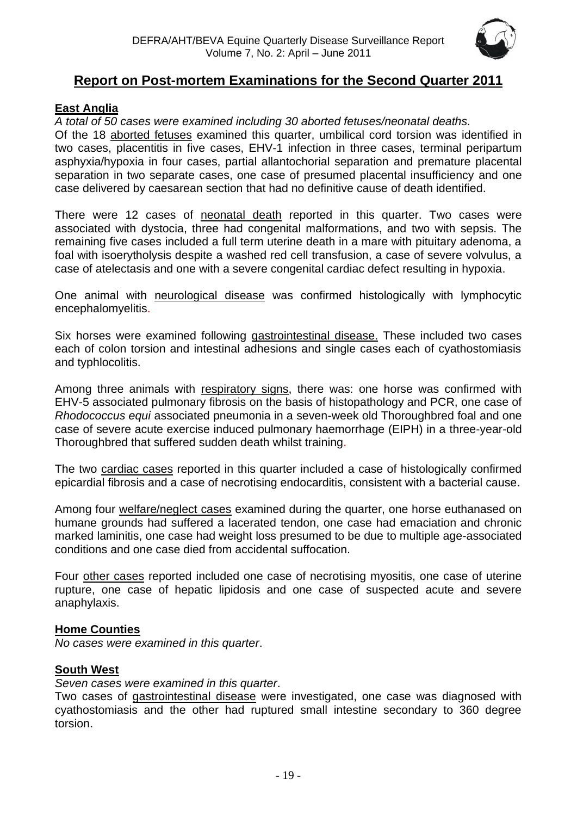

# **Report on Post-mortem Examinations for the Second Quarter 2011**

#### <span id="page-18-0"></span>**East Anglia**

*A total of 50 cases were examined including 30 aborted fetuses/neonatal deaths.*

Of the 18 aborted fetuses examined this quarter, umbilical cord torsion was identified in two cases, placentitis in five cases, EHV-1 infection in three cases, terminal peripartum asphyxia/hypoxia in four cases, partial allantochorial separation and premature placental separation in two separate cases, one case of presumed placental insufficiency and one case delivered by caesarean section that had no definitive cause of death identified.

There were 12 cases of neonatal death reported in this quarter. Two cases were associated with dystocia, three had congenital malformations, and two with sepsis. The remaining five cases included a full term uterine death in a mare with pituitary adenoma, a foal with isoerytholysis despite a washed red cell transfusion, a case of severe volvulus, a case of atelectasis and one with a severe congenital cardiac defect resulting in hypoxia.

One animal with neurological disease was confirmed histologically with lymphocytic encephalomyelitis.

Six horses were examined following gastrointestinal disease. These included two cases each of colon torsion and intestinal adhesions and single cases each of cyathostomiasis and typhlocolitis.

Among three animals with respiratory signs, there was: one horse was confirmed with EHV-5 associated pulmonary fibrosis on the basis of histopathology and PCR, one case of *Rhodococcus equi* associated pneumonia in a seven-week old Thoroughbred foal and one case of severe acute exercise induced pulmonary haemorrhage (EIPH) in a three-year-old Thoroughbred that suffered sudden death whilst training.

The two cardiac cases reported in this quarter included a case of histologically confirmed epicardial fibrosis and a case of necrotising endocarditis, consistent with a bacterial cause.

Among four welfare/neglect cases examined during the quarter, one horse euthanased on humane grounds had suffered a lacerated tendon, one case had emaciation and chronic marked laminitis, one case had weight loss presumed to be due to multiple age-associated conditions and one case died from accidental suffocation.

Four other cases reported included one case of necrotising myositis, one case of uterine rupture, one case of hepatic lipidosis and one case of suspected acute and severe anaphylaxis.

#### <span id="page-18-1"></span>**Home Counties**

*No cases were examined in this quarter*.

#### <span id="page-18-2"></span>**South West**

*Seven cases were examined in this quarter*.

Two cases of gastrointestinal disease were investigated, one case was diagnosed with cyathostomiasis and the other had ruptured small intestine secondary to 360 degree torsion.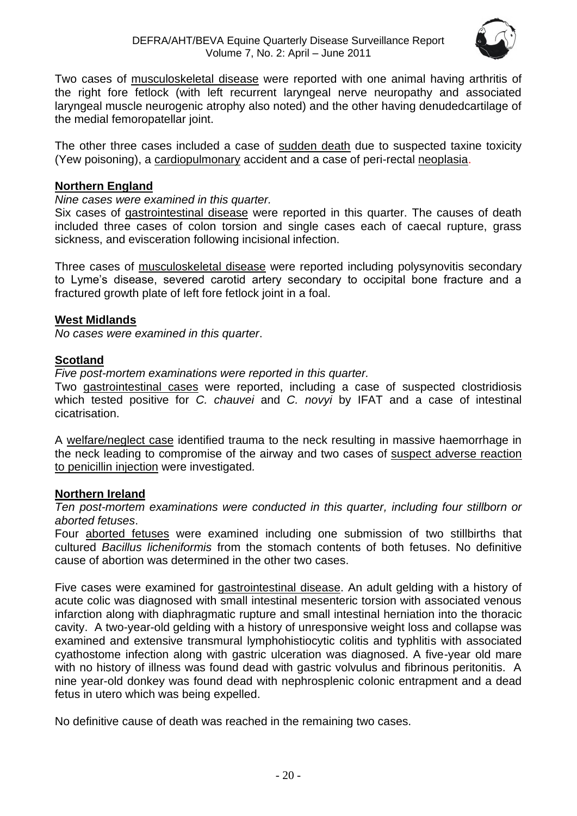

Two cases of musculoskeletal disease were reported with one animal having arthritis of the right fore fetlock (with left recurrent laryngeal nerve neuropathy and associated laryngeal muscle neurogenic atrophy also noted) and the other having denudedcartilage of the medial femoropatellar joint.

The other three cases included a case of sudden death due to suspected taxine toxicity (Yew poisoning), a cardiopulmonary accident and a case of peri-rectal neoplasia.

#### <span id="page-19-0"></span>**Northern England**

*Nine cases were examined in this quarter.*

Six cases of gastrointestinal disease were reported in this quarter. The causes of death included three cases of colon torsion and single cases each of caecal rupture, grass sickness, and evisceration following incisional infection.

Three cases of musculoskeletal disease were reported including polysynovitis secondary to Lyme's disease, severed carotid artery secondary to occipital bone fracture and a fractured growth plate of left fore fetlock joint in a foal.

#### <span id="page-19-1"></span>**West Midlands**

*No cases were examined in this quarter*.

#### <span id="page-19-2"></span>**Scotland**

*Five post-mortem examinations were reported in this quarter.* 

Two gastrointestinal cases were reported, including a case of suspected clostridiosis which tested positive for *C. chauvei* and *C. novyi* by IFAT and a case of intestinal cicatrisation.

A welfare/neglect case identified trauma to the neck resulting in massive haemorrhage in the neck leading to compromise of the airway and two cases of suspect adverse reaction to penicillin injection were investigated*.*

#### <span id="page-19-3"></span>**Northern Ireland**

*Ten post-mortem examinations were conducted in this quarter, including four stillborn or aborted fetuses*.

Four aborted fetuses were examined including one submission of two stillbirths that cultured *Bacillus licheniformis* from the stomach contents of both fetuses. No definitive cause of abortion was determined in the other two cases.

Five cases were examined for gastrointestinal disease. An adult gelding with a history of acute colic was diagnosed with small intestinal mesenteric torsion with associated venous infarction along with diaphragmatic rupture and small intestinal herniation into the thoracic cavity. A two-year-old gelding with a history of unresponsive weight loss and collapse was examined and extensive transmural lymphohistiocytic colitis and typhlitis with associated cyathostome infection along with gastric ulceration was diagnosed. A five-year old mare with no history of illness was found dead with gastric volvulus and fibrinous peritonitis. A nine year-old donkey was found dead with nephrosplenic colonic entrapment and a dead fetus in utero which was being expelled.

No definitive cause of death was reached in the remaining two cases.